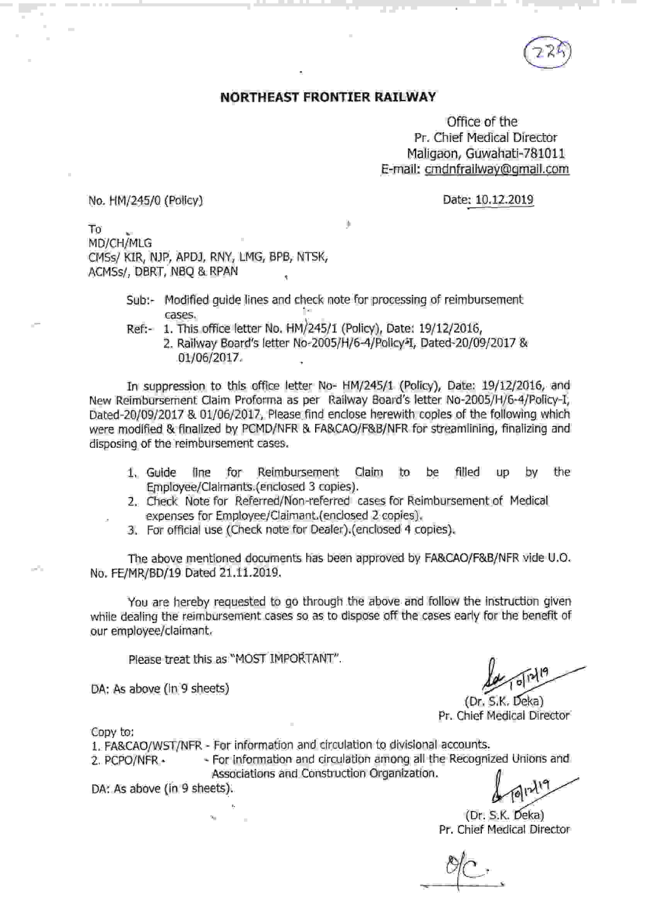### NORTHEAST FRONTIER RAILWAY

Office of the Pr. Chief Medical Director Maligaon, Guwahati-781011 E-mail : cmdnfrailwav@qmail.com

No. HM/245/0 (Policy) 2010 2020 2020 2031 204: 10.12.2019

To MD/CH/MLG CMSs/ KIR, NJP, APDJ, RNY, LMG, BPB, NTSK, ACMSs/, DBRT, NBQ & RPAN !

- Sub:- Modified guide lines and check note for processing of reimbursement cases.
- Ref:- 1. This office letter No. HM/245/1 (Policy), Date: 19/12/2016,
	- 2. Railway Board's letter No-2005/H/6-4/Policy-I, Dated-20/09/2017 & 01/06/2017.

In suppression to this office letter No- HM/245/1 (Policy), Date: 19/12/2016, and New Reimbursement Claim Proforma as per Railway Board's letter No-2005/H/6-4lPolicy-I, Dated-20/09/2017 & 01/06/2017, Please find enclose herewith copies of the following which were modified & finalized by PCMD/NFR & FA&CAO/F&B/NFR for streamlining, finalizing and disposing of the reimbursement cases.

- 1, Guide line for Reimbursement Claim to be filled up by the Eprployee/Claimants.(enclosed 3 copies).
- 2. Check Note for Referred/Non-referred cases for Reimbursement of Medical expenses for Employee/Claimant.(enclosed 2 copies).
- 3. For official use (Check note for Dealer).(enclosed 4 copies).

The above mentioned documents has been approved by FA&CAO/F&B/NFR vide U.O. No. FE/MR/BD/19 Dated 21.11.2019.

You are hereby requested to go through the above and follow the instructlon given while dealing the reimbursement cases so as to dispose off the cases early for the benefit of our employee/claimant.

Please treat this as "MOST IMPORTANT".

DA: As above (in 9 sheets)

t9 o

(Dr. S.K. Deka) Pr. Chief Medical Director

copy to:

1. FA&CAO/WST/NFR - For information and circulation to divisional accounts.

2. PCPO/NFR. - For information and circulation among all the Recognized Unions and Associations and Construction Organization.

DA: As above (in 9 sheets).

(Dr. S.K. Deka) Pr. Chief Medical Director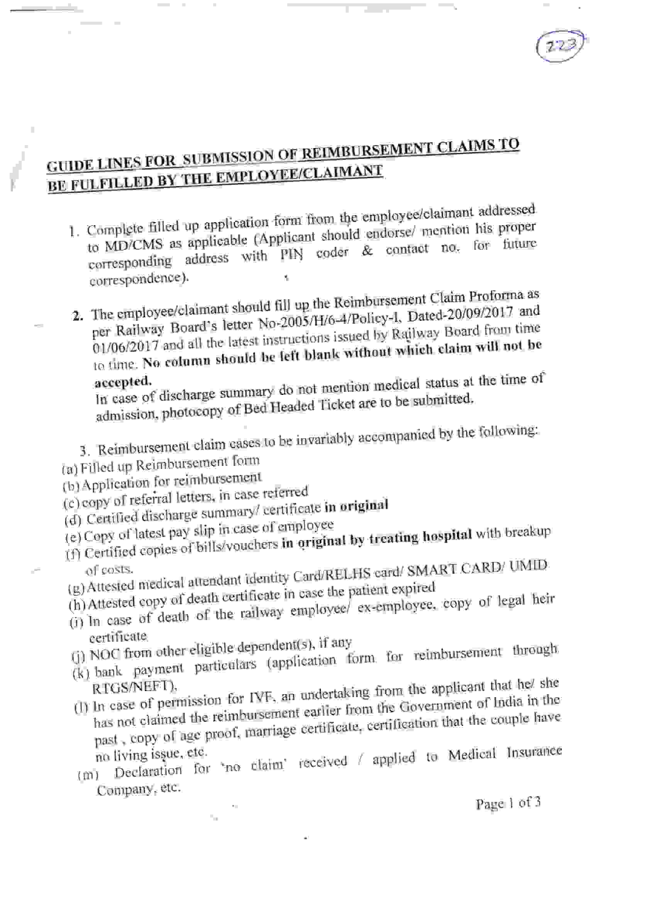## **GUIDE LINES FOR SUBMISSION OF REIMBURSEMENT CLAIMS TO** BE FULFILLED BY THE EMPLOYEE/CLAIMANT

- 1. Complete filled up application form from the employee/claimant addressed to MD/CMS as applicable (Applicant should endorse/ mention his proper corresponding address with PIN coder & contact no. for future correspondence).
- 2. The employee/claimant should fill up the Reimbursement Claim Proforma as per Railway Board's letter No-2003/H/6-4/Policy-I, Dated-20/09/2017 and 01/06/2017 and all the latest instructions issued by Railway Board from time to time. No column should be left blank without which claim will not be

In case of discharge summary do not mention medical status at the time of admission, photocopy of Bed Headed Ticket are to be submitted.

- 3. Reimbursement claim cases to be invariably accompanied by the following:
- (a) Filled up Reimbursement form
- (b) Application for reimbursement
- (c) copy of referral letters, in case referred
- (d) Certified discharge summary/ certificate in original
- 
- (e) Copy of latest pay slip in case of employee (f) Certified copies of bills/vouchers in original by treating hospital with breakup
- (g) Attested medical attendant identity Card/RELHS card/ SMART CARD/ UMID
- 
- (h) Attested copy of death certificate in case the patient expired (i) In case of death of the railway employee/ ex-employee, copy of legal heir
- certificate

×.

- (i) NOC from other eligible dependent(s), if any (k) bank payment particulars (application form for reimbursement through
- (1) In case of permission for IVF, an undertaking from the applicant that he/ she
- has not claimed the reimbursement earlier from the Government of India in the past, copy of age proof, marriage certificate, certification that the couple have
- (m) Declaration for 'no claim' received / applied to Medical Insurance Company, etc.

Page 1 of 3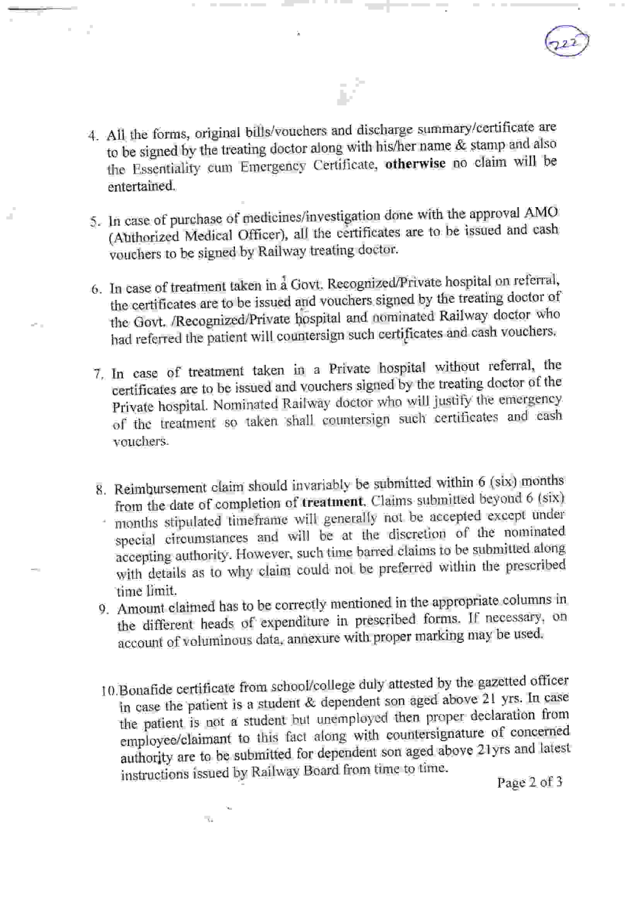- 4. All the forms, original bills/vouchers and discharge summary/certificate are to be signed by the treating doctor along with his/her name  $\&$  stamp and also the Essentiality cum Emergency Certificate, otherwise no claim will be entertained.
- 5. In case of purchase of medicines/investigation done with the approval  $\lambda$ Mo  $\lambda$ (Authorized Medical Officer), all the certificates are to be issued and cash vouchers to be signed by Railway treating doctor'
- 6. In case of treatment taken in a Govt. Recognized/Private hospital on referral, the certificates are to be issued and vouchers signed by the healing doctor of<br>the Govt. /Recognized/Private hospital and nominated Railway doctor who the certificates are to be issued and vouchers signed by the treating doctor of had referred the patient will countersign such certificates and cash vouchers.
- 7. In case of treatment taken in a Private hospital without referral, the certificates are to be issued and vouchers signed by the treating doctor of the Private hospital. Nominated Railway doctor who will justify the emergency of the treatment so taken shall countersign such certificates and cash vouchers.
- 8. Reimbursement claim should invariably be submitted within 6 (six) months<br>Claims submitted beyond 6 (six) from the date of completion of treatment. Claims submitted beyond 6 (six) months stipulated timeframe will generally not be accepted except under special circumstances and will be at the discretion of the nominated with details as to why claim could not be preferred within the prescribed accepting authority. However, such time barred claims to be submitted along time limit.
- 9. Amount claimed has to be correctly mentioned in the appropriate columns in the different heads of expenditure in prescribed forms. If necessary, on account of voluminous data, annexure with proper marking may be used
- 10.Bonafide certificate from school/college duly attested by the gazelted officer  $\frac{10}{2}$  in case the patient is a student & dependent son aged above 21 yrs. In case the patient is not a student but unemployed then proper declaration from employee/claimant to this fact along with countersignature of concerned authority are to be submitted for dependent son aged above 21yrs and latest instructions issued by Railway Board from time to time.

Page 2 of 3

 $\Lambda^{\pm}$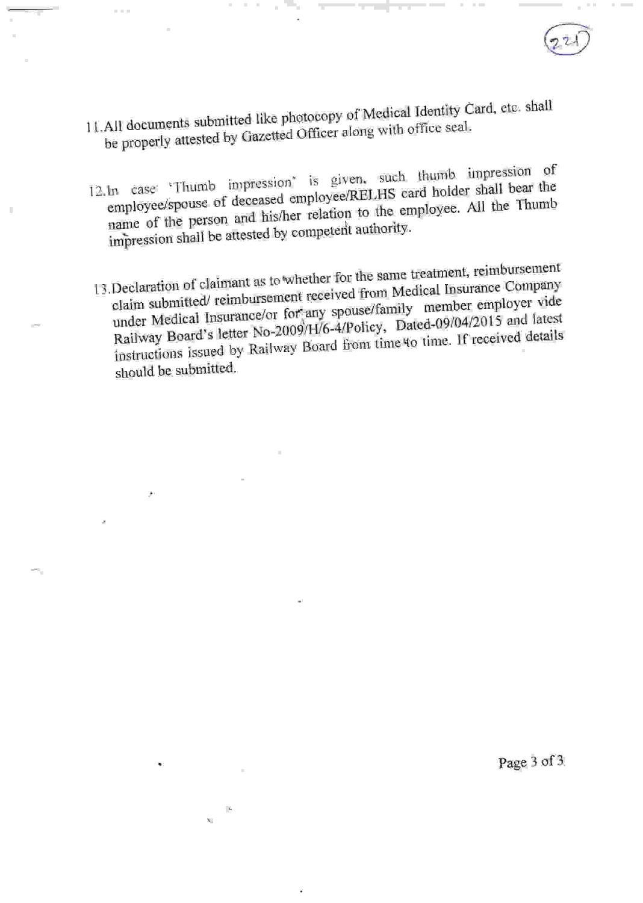- 11.All documents submitted like photocopy of Medical Identity Card, etc. shall be properly attested by Gazetted Officer along with office seal.
- 12. In case Thumb impression is given, such thumb impression of employee/spouse of deceased employee/RELHS card holder shall bear the name of the person and his/her relation to the employee. All the Thumb impression shall be attested by competent authority.
- 13. Declaration of claimant as to whether for the same treatment, reimbursement claim submitted/reimbursement received from Medical Insurance Company under Medical Insurance/or for any spouse/family member employer vide Railway Board's letter No-2009/H/6-4/Policy, Dated-09/04/2015 and latest instructions issued by Railway Board from time to time. If received details should be submitted.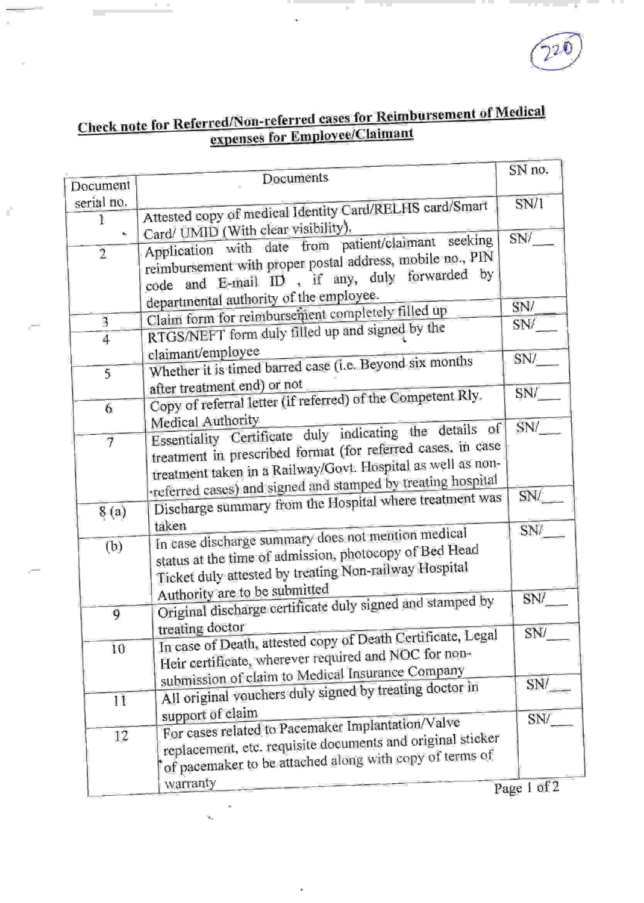¥,

**Contract Contract** 

and the control

# Check note for Referred/Non-referred cases for Reimbursement of Medical<br>expenses for Employee/Claimant

**11 L** 

 $\bar{\mathbf{z}}$ 

**Contract Contract** 

 $\sim$ 

<u>and the state</u>

Ŷ.

|                             | Documents                                                                                                                                                                                                     | SN no.      |
|-----------------------------|---------------------------------------------------------------------------------------------------------------------------------------------------------------------------------------------------------------|-------------|
| Document                    |                                                                                                                                                                                                               |             |
| serial no.<br>ł.            | Attested copy of medical Identity Card/RELHS card/Smart<br>Card/ UMID (With clear visibility).                                                                                                                | SN/1        |
| ¥<br>$\overline{2}$         | Application with date from patient/claimant seeking<br>reimbursement with proper postal address, mobile no., PIN<br>code and E-mail ID , if any, duly forwarded by<br>departmental authority of the employee. | SNV         |
|                             | Claim form for reimbursement completely filled up                                                                                                                                                             | SN/         |
| 3                           | RTGS/NEFT form duly filled up and signed by the                                                                                                                                                               | SN/         |
| 4                           |                                                                                                                                                                                                               |             |
| 5                           | claimant/employee<br>Whether it is timed barred case (i.e. Beyond six months                                                                                                                                  | SN/         |
|                             | after treatment end) or not                                                                                                                                                                                   | SN/         |
| 6                           | Copy of referral letter (if referred) of the Competent Rly.                                                                                                                                                   |             |
|                             | Medical Authority<br>Essentiality Certificate duly indicating the details of                                                                                                                                  | SN/         |
| Ī                           | treatment in prescribed format (for referred cases, in case<br>treatment taken in a Railway/Govt. Hospital as well as non-<br>referred cases) and signed and stamped by treating hospital                     |             |
|                             | Discharge summary from the Hospital where treatment was                                                                                                                                                       | SN/         |
| 8(a)                        |                                                                                                                                                                                                               |             |
|                             | taken                                                                                                                                                                                                         | SN/         |
| $\overline{(\mathfrak{b})}$ | In case discharge summary does not mention medical<br>status at the time of admission, photocopy of Bed Head<br>Ticket duly attested by treating Non-railway Hospital                                         |             |
|                             | Authority are to be submitted<br>Original discharge certificate duly signed and stamped by                                                                                                                    | SN/         |
| 9                           |                                                                                                                                                                                                               |             |
|                             | treating doctor<br>In case of Death, attested copy of Death Certificate, Legal                                                                                                                                | SN/         |
| 10                          | Heir certificate, wherever required and NOC for non-<br>submission of claim to Medical Insurance Company                                                                                                      |             |
|                             |                                                                                                                                                                                                               | SN/         |
| 11                          | All original vouchers duly signed by treating doctor in                                                                                                                                                       |             |
|                             | support of claim                                                                                                                                                                                              | SN/         |
| 12                          | For cases related to Pacemaker Implantation/Valve<br>replacement, etc. requisite documents and original sticker<br>of pacemaker to be attached along with copy of terms of                                    |             |
|                             | warranty                                                                                                                                                                                                      | Page 1 of 2 |
|                             |                                                                                                                                                                                                               |             |

 $\frac{1}{2}$  ,  $\frac{1}{2}$ 

÷,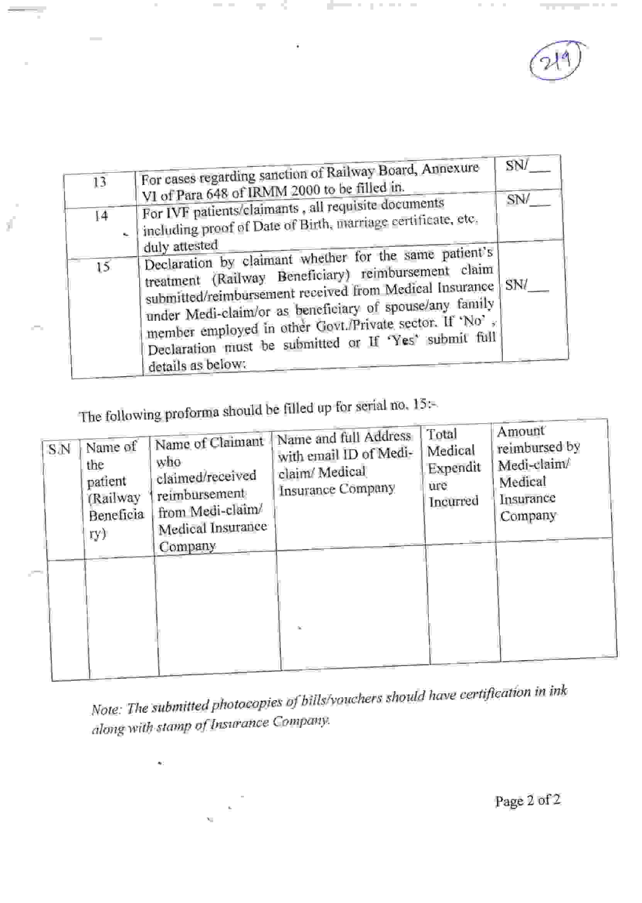| 13<br>14 | For cases regarding sanction of Railway Board, Annexure<br>VI of Para 648 of IRMM 2000 to be filled in.<br>For IVF patients/claimants, all requisite documents<br>including proof of Date of Birth, marriage certificate, etc.                                                                                                                                           | SN/<br>SN/ |
|----------|--------------------------------------------------------------------------------------------------------------------------------------------------------------------------------------------------------------------------------------------------------------------------------------------------------------------------------------------------------------------------|------------|
| 15       | duly attested<br>Declaration by claimant whether for the same patient's<br>treatment (Railway Beneficiary) reimbursement claim<br>submitted/reimbursement received from Medical Insurance<br>under Medi-claim/or as beneficiary of spouse/any family<br>member employed in other Govt./Private sector. If 'No',<br>Declaration must be submitted or If 'Yes' submit full | SN/        |
|          | details as below.                                                                                                                                                                                                                                                                                                                                                        |            |

The following proforma should be filled up for serial no. 15:-

| S/N | Name of<br>the<br>patient<br>(Railway<br>Beneficia<br>ry). | Name of Claimant<br>who<br>claimed/received<br>reimbursement<br>from Medi-claim/<br>Medical Insurance<br>Company | Name and full Address<br>with email ID of Medi-<br>claim/ Medical<br>Insurance Company | Total<br>Medical<br>Expendit<br>ure<br>Incurred | Amount<br>reimbursed by<br>Medi-claim/<br>Medical<br>Insurance<br>Company |
|-----|------------------------------------------------------------|------------------------------------------------------------------------------------------------------------------|----------------------------------------------------------------------------------------|-------------------------------------------------|---------------------------------------------------------------------------|
|     |                                                            |                                                                                                                  |                                                                                        |                                                 |                                                                           |

Note: The submitted photocopies of bills/vouchers should have certification in ink along with stamp of Insurance Company.

Page 2 of 2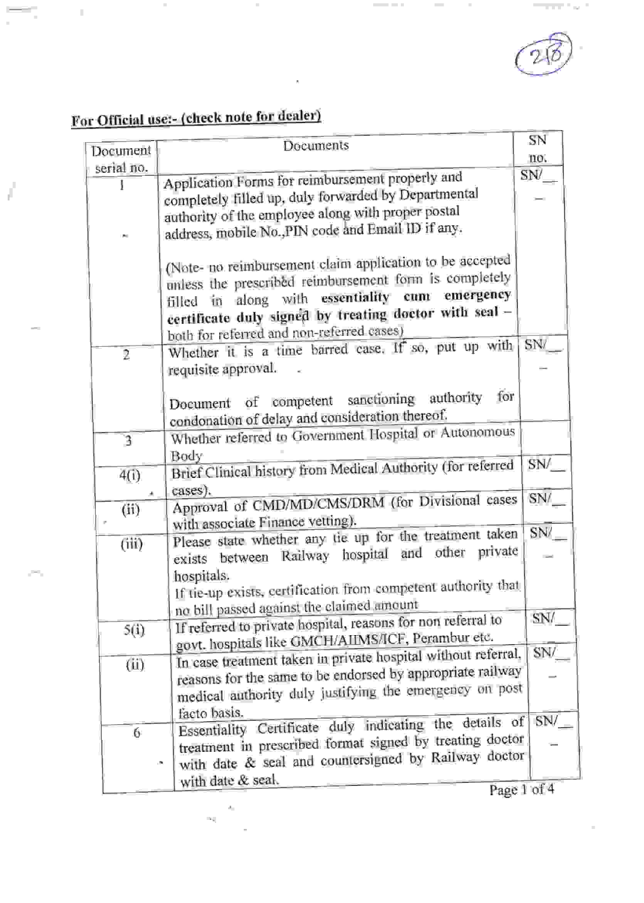$\overline{r_{\rm{max}}}=1.2\pm0.1$ 

## For Official use:- (check note for dealer)

 $\sim$ 

 $\frac{1}{2} \left( \frac{1}{2} \right) \left( \frac{1}{2} \right) \left( \frac{1}{2} \right) \left( \frac{1}{2} \right) \left( \frac{1}{2} \right) \left( \frac{1}{2} \right) \left( \frac{1}{2} \right) \left( \frac{1}{2} \right) \left( \frac{1}{2} \right) \left( \frac{1}{2} \right) \left( \frac{1}{2} \right) \left( \frac{1}{2} \right) \left( \frac{1}{2} \right) \left( \frac{1}{2} \right) \left( \frac{1}{2} \right) \left( \frac{1}{2} \right) \left( \frac$ 

 $\sim$ 

 $\alpha$ 

 $\sim$ 

r,

ľ

 $\bar{\Gamma}$ 

| Document                | Documents                                                                                                                                                      | SN             |
|-------------------------|----------------------------------------------------------------------------------------------------------------------------------------------------------------|----------------|
| serial no.              |                                                                                                                                                                | no.<br>SN/     |
|                         | Application Forms for reimbursement properly and<br>completely filled up, duly forwarded by Departmental<br>authority of the employee along with proper postal |                |
|                         | address, mobile No., PIN code and Email ID if any.                                                                                                             |                |
|                         | (Note- no reimbursement claim application to be accepted<br>unless the prescribed reimbursement form is completely                                             |                |
|                         | filled in along with essentiality cum emergency                                                                                                                |                |
|                         | certificate duly signed by treating doctor with seal -                                                                                                         |                |
|                         | both for referred and non-referred cases)                                                                                                                      | $\mathrm{SN}/$ |
| $\overline{2}$          | Whether it is a time barred case. If so, put up with<br>requisite approval.                                                                                    |                |
|                         |                                                                                                                                                                |                |
|                         | for<br>Document of competent sanctioning authority<br>condonation of delay and consideration thereof.                                                          |                |
| $\overline{\mathbf{3}}$ | Whether referred to Government Hospital or Autonomous                                                                                                          |                |
|                         | Body                                                                                                                                                           |                |
| 4(1)                    | Brief Clinical history from Medical Authority (for referred<br>cases).                                                                                         | SN/            |
| (ii)                    | Approval of CMD/MD/CMS/DRM (for Divisional cases                                                                                                               | SN/            |
|                         | with associate Finance vetting).<br>Please state whether any tie up for the treatment taken                                                                    | SN/            |
| (iii)                   | exists between Railway hospital and other private                                                                                                              |                |
|                         | hospitals.<br>If tie-up exists, certification from competent authority that                                                                                    |                |
|                         | no bill passed against the claimed amount<br>If referred to private hospital, reasons for non referral to                                                      | SN/            |
| 5(i)                    | govt. hospitals like GMCH/AIIMS/ICF, Perambur etc.                                                                                                             |                |
| (ii)                    | In case treatment taken in private hospital without referral,                                                                                                  | SN/            |
|                         | reasons for the same to be endorsed by appropriate railway<br>medical authority duly justifying the emergency on post                                          |                |
|                         | facto basis.                                                                                                                                                   |                |
| 6                       | Essentiality Certificate duly indicating the details of                                                                                                        | SN/            |
|                         | treatment in prescribed format signed by treating doctor                                                                                                       |                |
|                         | with date & seal and countersigned by Railway doctor<br>, по                                                                                                   |                |
|                         | with date & seal.                                                                                                                                              | $A - C$        |

Page 1 of 4

 $\lambda_{\rm f}$  $\sim_{\rm c}$